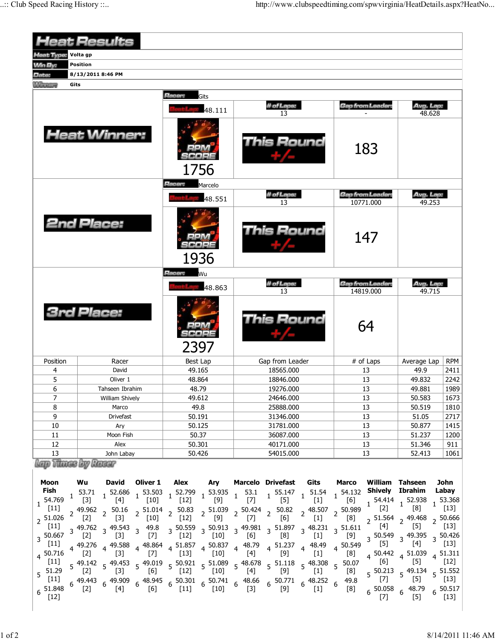|                                                                                                                                                                           | <b>Heat Results</b>                                                                            |                                                               |                                                                                                                                                                                                                                                                                                                                                                                                                                                                                                                                                                                                                                                                                                                                                                                                             |                                                                                                                                                                                                             |                                                                                                                                                                                                                                                                                                                                                                                                                                                                                                 |
|---------------------------------------------------------------------------------------------------------------------------------------------------------------------------|------------------------------------------------------------------------------------------------|---------------------------------------------------------------|-------------------------------------------------------------------------------------------------------------------------------------------------------------------------------------------------------------------------------------------------------------------------------------------------------------------------------------------------------------------------------------------------------------------------------------------------------------------------------------------------------------------------------------------------------------------------------------------------------------------------------------------------------------------------------------------------------------------------------------------------------------------------------------------------------------|-------------------------------------------------------------------------------------------------------------------------------------------------------------------------------------------------------------|-------------------------------------------------------------------------------------------------------------------------------------------------------------------------------------------------------------------------------------------------------------------------------------------------------------------------------------------------------------------------------------------------------------------------------------------------------------------------------------------------|
| <b>Heat Type:</b>                                                                                                                                                         | Volta gp                                                                                       |                                                               |                                                                                                                                                                                                                                                                                                                                                                                                                                                                                                                                                                                                                                                                                                                                                                                                             |                                                                                                                                                                                                             |                                                                                                                                                                                                                                                                                                                                                                                                                                                                                                 |
| <b>Min By:</b>                                                                                                                                                            | Position                                                                                       |                                                               |                                                                                                                                                                                                                                                                                                                                                                                                                                                                                                                                                                                                                                                                                                                                                                                                             |                                                                                                                                                                                                             |                                                                                                                                                                                                                                                                                                                                                                                                                                                                                                 |
| Date:                                                                                                                                                                     | 8/13/2011 8:46 PM                                                                              |                                                               |                                                                                                                                                                                                                                                                                                                                                                                                                                                                                                                                                                                                                                                                                                                                                                                                             |                                                                                                                                                                                                             |                                                                                                                                                                                                                                                                                                                                                                                                                                                                                                 |
| <b><i>Alisatore</i></b>                                                                                                                                                   | Gits                                                                                           |                                                               |                                                                                                                                                                                                                                                                                                                                                                                                                                                                                                                                                                                                                                                                                                                                                                                                             |                                                                                                                                                                                                             |                                                                                                                                                                                                                                                                                                                                                                                                                                                                                                 |
|                                                                                                                                                                           |                                                                                                | <b>Hacer:</b><br>Gits                                         |                                                                                                                                                                                                                                                                                                                                                                                                                                                                                                                                                                                                                                                                                                                                                                                                             |                                                                                                                                                                                                             |                                                                                                                                                                                                                                                                                                                                                                                                                                                                                                 |
|                                                                                                                                                                           |                                                                                                | 48.111                                                        | # of Laps:<br>13                                                                                                                                                                                                                                                                                                                                                                                                                                                                                                                                                                                                                                                                                                                                                                                            | Gap from Leader:                                                                                                                                                                                            | Avg. Lap:<br>48.628                                                                                                                                                                                                                                                                                                                                                                                                                                                                             |
|                                                                                                                                                                           | <b>Heat Winner:</b>                                                                            | 1756                                                          | <b>This Round</b>                                                                                                                                                                                                                                                                                                                                                                                                                                                                                                                                                                                                                                                                                                                                                                                           | 183                                                                                                                                                                                                         |                                                                                                                                                                                                                                                                                                                                                                                                                                                                                                 |
|                                                                                                                                                                           |                                                                                                | Racer:<br>Marcelo                                             |                                                                                                                                                                                                                                                                                                                                                                                                                                                                                                                                                                                                                                                                                                                                                                                                             |                                                                                                                                                                                                             |                                                                                                                                                                                                                                                                                                                                                                                                                                                                                                 |
|                                                                                                                                                                           |                                                                                                | 48.551                                                        | # of Laps:<br>13                                                                                                                                                                                                                                                                                                                                                                                                                                                                                                                                                                                                                                                                                                                                                                                            | <b>Gap from Leader:</b><br>10771.000                                                                                                                                                                        | Avg. Lap:<br>49.253                                                                                                                                                                                                                                                                                                                                                                                                                                                                             |
|                                                                                                                                                                           | <b>2nd Place:</b>                                                                              | 1936                                                          | This Round                                                                                                                                                                                                                                                                                                                                                                                                                                                                                                                                                                                                                                                                                                                                                                                                  | 147                                                                                                                                                                                                         |                                                                                                                                                                                                                                                                                                                                                                                                                                                                                                 |
|                                                                                                                                                                           |                                                                                                | <b>Hacer:</b><br>Wu                                           |                                                                                                                                                                                                                                                                                                                                                                                                                                                                                                                                                                                                                                                                                                                                                                                                             |                                                                                                                                                                                                             |                                                                                                                                                                                                                                                                                                                                                                                                                                                                                                 |
|                                                                                                                                                                           |                                                                                                | 48.863                                                        | # of Laps:<br>13                                                                                                                                                                                                                                                                                                                                                                                                                                                                                                                                                                                                                                                                                                                                                                                            | Gap from Leader:<br>14819.000                                                                                                                                                                               | Avg. Lap:<br>49.715                                                                                                                                                                                                                                                                                                                                                                                                                                                                             |
|                                                                                                                                                                           | <b>3rd Place:</b>                                                                              | 2397                                                          | This Round                                                                                                                                                                                                                                                                                                                                                                                                                                                                                                                                                                                                                                                                                                                                                                                                  | 64                                                                                                                                                                                                          |                                                                                                                                                                                                                                                                                                                                                                                                                                                                                                 |
| Position                                                                                                                                                                  | Racer                                                                                          | <b>Best Lap</b>                                               | Gap from Leader                                                                                                                                                                                                                                                                                                                                                                                                                                                                                                                                                                                                                                                                                                                                                                                             | # of Laps                                                                                                                                                                                                   | <b>RPM</b><br>Average Lap                                                                                                                                                                                                                                                                                                                                                                                                                                                                       |
| 4                                                                                                                                                                         | David                                                                                          | 49.165                                                        | 18565.000                                                                                                                                                                                                                                                                                                                                                                                                                                                                                                                                                                                                                                                                                                                                                                                                   | 13                                                                                                                                                                                                          | 49.9<br>2411                                                                                                                                                                                                                                                                                                                                                                                                                                                                                    |
| 5                                                                                                                                                                         | Oliver 1                                                                                       | 48.864                                                        | 18846.000                                                                                                                                                                                                                                                                                                                                                                                                                                                                                                                                                                                                                                                                                                                                                                                                   | 13                                                                                                                                                                                                          | 2242<br>49.832                                                                                                                                                                                                                                                                                                                                                                                                                                                                                  |
| 6                                                                                                                                                                         | Tahseen Ibrahim                                                                                | 48.79                                                         | 19276.000                                                                                                                                                                                                                                                                                                                                                                                                                                                                                                                                                                                                                                                                                                                                                                                                   | 13                                                                                                                                                                                                          | 1989<br>49.881                                                                                                                                                                                                                                                                                                                                                                                                                                                                                  |
| $\overline{7}$<br>8                                                                                                                                                       | William Shively<br>Marco                                                                       | 49.612<br>49.8                                                | 24646.000<br>25888.000                                                                                                                                                                                                                                                                                                                                                                                                                                                                                                                                                                                                                                                                                                                                                                                      | 13<br>13                                                                                                                                                                                                    | 50.583<br>1673<br>1810<br>50.519                                                                                                                                                                                                                                                                                                                                                                                                                                                                |
| 9                                                                                                                                                                         | Drivefast                                                                                      | 50.191                                                        | 31346.000                                                                                                                                                                                                                                                                                                                                                                                                                                                                                                                                                                                                                                                                                                                                                                                                   | 13                                                                                                                                                                                                          | 2717<br>51.05                                                                                                                                                                                                                                                                                                                                                                                                                                                                                   |
| 10                                                                                                                                                                        | Ary                                                                                            | 50.125                                                        | 31781.000                                                                                                                                                                                                                                                                                                                                                                                                                                                                                                                                                                                                                                                                                                                                                                                                   |                                                                                                                                                                                                             | 50.877<br>1415                                                                                                                                                                                                                                                                                                                                                                                                                                                                                  |
| 11                                                                                                                                                                        | Moon Fish                                                                                      | 50.37                                                         | 36087.000                                                                                                                                                                                                                                                                                                                                                                                                                                                                                                                                                                                                                                                                                                                                                                                                   | 13<br>13                                                                                                                                                                                                    | 51.237<br>1200                                                                                                                                                                                                                                                                                                                                                                                                                                                                                  |
| 12                                                                                                                                                                        | Alex                                                                                           | 50.301                                                        | 40171.000                                                                                                                                                                                                                                                                                                                                                                                                                                                                                                                                                                                                                                                                                                                                                                                                   | 13                                                                                                                                                                                                          | 51.346<br>911                                                                                                                                                                                                                                                                                                                                                                                                                                                                                   |
| 13                                                                                                                                                                        | John Labay<br>lap Thuse by Rassr                                                               | 50.426                                                        | 54015.000                                                                                                                                                                                                                                                                                                                                                                                                                                                                                                                                                                                                                                                                                                                                                                                                   | 13                                                                                                                                                                                                          | 52.413<br>1061                                                                                                                                                                                                                                                                                                                                                                                                                                                                                  |
| Moon                                                                                                                                                                      | Oliver 1<br>Wu<br>David                                                                        | Alex Ary                                                      | <b>Marcelo Drivefast</b><br>Gits                                                                                                                                                                                                                                                                                                                                                                                                                                                                                                                                                                                                                                                                                                                                                                            | <b>Marco</b><br>William Tahseen                                                                                                                                                                             | John                                                                                                                                                                                                                                                                                                                                                                                                                                                                                            |
| Fish<br>$1\;\frac{54.769}{[11]}$<br>$2^{51.026}$<br>[11]<br>$3\frac{50.667}{50}$<br>[11]<br>4 50.716<br>$[11]$<br>$5\frac{51.29}{ }$<br>$[11]$<br>51.848<br>$6 \t{-} 12]$ | 2 49.962 2 50.16<br>[2] 2 [3]<br>4 49.276 4 49.588<br>$\begin{bmatrix} 3 \end{bmatrix}$<br>[2] | 4 48.864 4 51.857 4 50.837 4 48.79<br>[7] 4 [13] 4 [10] 4 [4] | $\begin{array}{cccccccccccc} 1& 53.71 & 1& 52.686 & 1& 53.503 & 1& 52.799 & 1& 53.935 & 1& 53.1 & 1& 55.147 & 1& 51.54 & 1& 54.132 \\ \hline \end{array} \quad \begin{array}{cccccccc} 1& 53.635 & 1& 53.935 & 1& 53.1 & 1& 55.147 & 1& 51.54 & 1& 54.132 \\ \hline \end{array}$<br>2 51.014 2 50.83 2 51.039 2 50.424 2 50.82 2 48.507 2 50.989<br>[10] 2 [12] 2 [9] 2 [7] 2 [6] 2 [1] 2 [8]<br>3 49.762 3 49.543 3 49.8 3 50.559 3 50.913 3 49.981 3 51.897 3 48.231 3 51.611<br>[2] 3 [3] 3 [7] 3 [12] 3 [10] 3 [6] 3 [8] 3 [1] 3 [9]<br>[8]<br>$4\begin{array}{cc} 51.237 \\ 191 \end{array}$ $4\begin{array}{cc} 4.49 \\ 11 \end{array}$<br>$[9]$<br>$[1]$<br>5 49.142 5 49.453 5 49.019 5 50.921 5 51.089 5 48.678 5 51.118 5 48.308 5 50.07<br>[2] 5 [3] 5 [6] 5 [12] 5 [10] 5 [4] 5 [9] 5 [1] 5 [8] | Shively Ibrahim<br>$\begin{bmatrix} 2 \end{bmatrix}$ $\begin{bmatrix} 1 \end{bmatrix}$<br>[4]<br>[9]<br>$\begin{bmatrix} 5 \end{bmatrix}$<br>$4\frac{50.549}{1}$<br>$^{[8]}$<br>[6]<br>49.8<br>[8]<br>$[7]$ | Labay<br>$1\frac{54.414}{52}$ 1 52.938<br>$1\,$ 53.368<br>$[13]$<br>[8]<br>$2\begin{array}{cc} 51.564 & 2 \end{array}$ 49.468 $2\begin{array}{cc} 50.666 \\ 1.51 \end{array}$<br>$[5]$<br>$[13]$<br>$3\frac{50.549}{57}$ $3\frac{49.395}{57}$<br>$3\,50.426$<br>[4]<br>$[13]$<br>$4\begin{array}{cc} 50.442 \\ 1.039 \\ 1.61 \end{array}$<br>$4\frac{51.311}{5}$<br>$[5]$<br>$[12]$<br>5 50.213 5 49.134 5 51.552<br>[7] 5 [5] 5 [13]<br>6 50.058 6 48.79 6 50.517<br>[7] 6 [5] 6 [13]<br>$[5]$ |